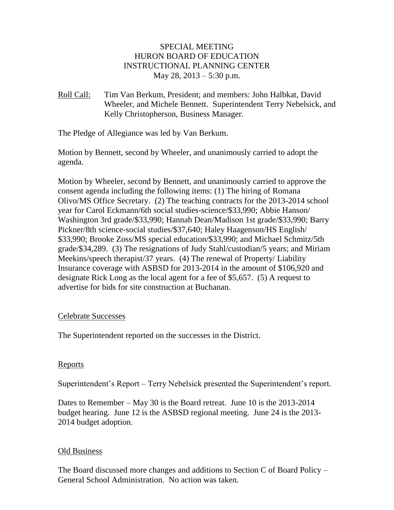## SPECIAL MEETING HURON BOARD OF EDUCATION INSTRUCTIONAL PLANNING CENTER May 28, 2013 – 5:30 p.m.

Roll Call: Tim Van Berkum, President; and members: John Halbkat, David Wheeler, and Michele Bennett. Superintendent Terry Nebelsick, and Kelly Christopherson, Business Manager.

The Pledge of Allegiance was led by Van Berkum.

Motion by Bennett, second by Wheeler, and unanimously carried to adopt the agenda.

Motion by Wheeler, second by Bennett, and unanimously carried to approve the consent agenda including the following items: (1) The hiring of Romana Olivo/MS Office Secretary. (2) The teaching contracts for the 2013-2014 school year for Carol Eckmann/6th social studies-science/\$33,990; Abbie Hanson/ Washington 3rd grade/\$33,990; Hannah Dean/Madison 1st grade/\$33,990; Barry Pickner/8th science-social studies/\$37,640; Haley Haagenson/HS English/ \$33,990; Brooke Zoss/MS special education/\$33,990; and Michael Schmitz/5th grade/\$34,289. (3) The resignations of Judy Stahl/custodian/5 years; and Miriam Meekins/speech therapist/37 years. (4) The renewal of Property/ Liability Insurance coverage with ASBSD for 2013-2014 in the amount of \$106,920 and designate Rick Long as the local agent for a fee of \$5,657. (5) A request to advertise for bids for site construction at Buchanan.

### Celebrate Successes

The Superintendent reported on the successes in the District.

## Reports

Superintendent's Report – Terry Nebelsick presented the Superintendent's report.

Dates to Remember – May 30 is the Board retreat. June 10 is the 2013-2014 budget hearing. June 12 is the ASBSD regional meeting. June 24 is the 2013- 2014 budget adoption.

### Old Business

The Board discussed more changes and additions to Section C of Board Policy – General School Administration. No action was taken.